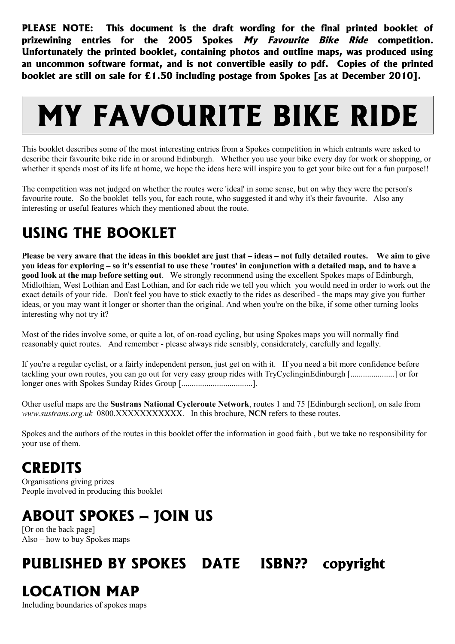**PLEASE NOTE: This document is the draft wording for the final printed booklet of prizewining entries for the 2005 Spokes My Favourite Bike Ride competition. Unfortunately the printed booklet, containing photos and outline maps, was produced using an uncommon software format, and is not convertible easily to pdf. Copies of the printed booklet are still on sale for £1.50 including postage from Spokes [as at December 2010].**

# **MY FAVOURITE BIKE RIDE**

This booklet describes some of the most interesting entries from a Spokes competition in which entrants were asked to describe their favourite bike ride in or around Edinburgh. Whether you use your bike every day for work or shopping, or whether it spends most of its life at home, we hope the ideas here will inspire you to get your bike out for a fun purpose!!

The competition was not judged on whether the routes were 'ideal' in some sense, but on why they were the person's favourite route. So the booklet tells you, for each route, who suggested it and why it's their favourite. Also any interesting or useful features which they mentioned about the route.

### **USING THE BOOKLET**

**Please be very aware that the ideas in this booklet are just that – ideas – not fully detailed routes. We aim to give you ideas for exploring – so it's essential to use these 'routes' in conjunction with a detailed map, and to have a good look at the map before setting out**. We strongly recommend using the excellent Spokes maps of Edinburgh, Midlothian, West Lothian and East Lothian, and for each ride we tell you which you would need in order to work out the exact details of your ride. Don't feel you have to stick exactly to the rides as described - the maps may give you further ideas, or you may want it longer or shorter than the original. And when you're on the bike, if some other turning looks interesting why not try it?

Most of the rides involve some, or quite a lot, of on-road cycling, but using Spokes maps you will normally find reasonably quiet routes. And remember - please always ride sensibly, considerately, carefully and legally.

If you're a regular cyclist, or a fairly independent person, just get on with it. If you need a bit more confidence before tackling your own routes, you can go out for very easy group rides with TryCyclinginEdinburgh [.....................] or for longer ones with Spokes Sunday Rides Group [...................................].

Other useful maps are the **Sustrans National Cycleroute Network**, routes 1 and 75 [Edinburgh section], on sale from *www.sustrans.org.uk* 0800.XXXXXXXXXXX. In this brochure, **NCN** refers to these routes.

Spokes and the authors of the routes in this booklet offer the information in good faith , but we take no responsibility for your use of them.

### **CREDITS**

Organisations giving prizes People involved in producing this booklet

### **ABOUT SPOKES – JOIN US**

[Or on the back page] Also – how to buy Spokes maps

### **PUBLISHED BY SPOKES DATE ISBN?? copyright**

### **LOCATION MAP**

Including boundaries of spokes maps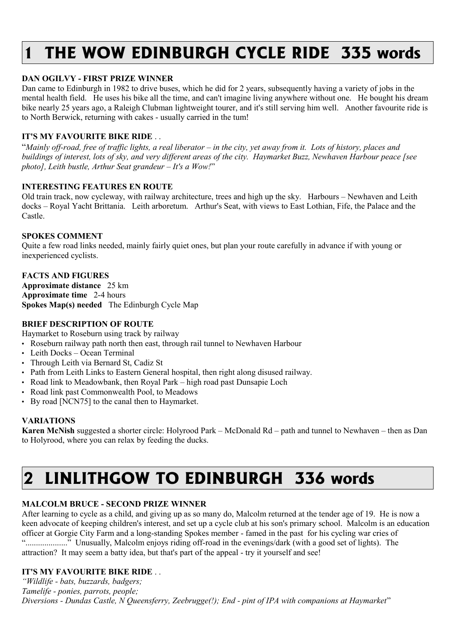# **1 THE WOW EDINBURGH CYCLE RIDE 335 words**

#### **DAN OGILVY - FIRST PRIZE WINNER**

Dan came to Edinburgh in 1982 to drive buses, which he did for 2 years, subsequently having a variety of jobs in the mental health field. He uses his bike all the time, and can't imagine living anywhere without one. He bought his dream bike nearly 25 years ago, a Raleigh Clubman lightweight tourer, and it's still serving him well. Another favourite ride is to North Berwick, returning with cakes - usually carried in the tum!

#### **IT'S MY FAVOURITE BIKE RIDE** . .

"*Mainly off-road, free of traffic lights, a real liberator – in the city, yet away from it. Lots of history, places and buildings of interest, lots of sky, and very different areas of the city. Haymarket Buzz, Newhaven Harbour peace [see photo], Leith bustle, Arthur Seat grandeur – It's a Wow!*"

#### **INTERESTING FEATURES EN ROUTE**

Old train track, now cycleway, with railway architecture, trees and high up the sky. Harbours – Newhaven and Leith docks – Royal Yacht Brittania. Leith arboretum. Arthur's Seat, with views to East Lothian, Fife, the Palace and the Castle.

#### **SPOKES COMMENT**

Quite a few road links needed, mainly fairly quiet ones, but plan your route carefully in advance if with young or inexperienced cyclists.

#### **FACTS AND FIGURES**

**Approximate distance** 25 km **Approximate time** 2-4 hours **Spokes Map(s) needed** The Edinburgh Cycle Map

#### **BRIEF DESCRIPTION OF ROUTE**

Haymarket to Roseburn using track by railway

• Roseburn railway path north then east, through rail tunnel to Newhaven Harbour

- Leith Docks Ocean Terminal
- Through Leith via Bernard St, Cadiz St
- Path from Leith Links to Eastern General hospital, then right along disused railway.
- Road link to Meadowbank, then Royal Park high road past Dunsapie Loch
- Road link past Commonwealth Pool, to Meadows
- By road [NCN75] to the canal then to Haymarket.

#### **VARIATIONS**

**Karen McNish** suggested a shorter circle: Holyrood Park – McDonald Rd – path and tunnel to Newhaven – then as Dan to Holyrood, where you can relax by feeding the ducks.

### **2 LINLITHGOW TO EDINBURGH 336 words**

#### **MALCOLM BRUCE - SECOND PRIZE WINNER**

After learning to cycle as a child, and giving up as so many do, Malcolm returned at the tender age of 19. He is now a keen advocate of keeping children's interest, and set up a cycle club at his son's primary school. Malcolm is an education officer at Gorgie City Farm and a long-standing Spokes member - famed in the past for his cycling war cries of "...................." Unusually, Malcolm enjoys riding off-road in the evenings/dark (with a good set of lights). The attraction? It may seem a batty idea, but that's part of the appeal - try it yourself and see!

#### **IT'S MY FAVOURITE BIKE RIDE** . .

*"Wildlife - bats, buzzards, badgers; Tamelife - ponies, parrots, people; Diversions - Dundas Castle, N Queensferry, Zeebrugge(!); End - pint of IPA with companions at Haymarket*"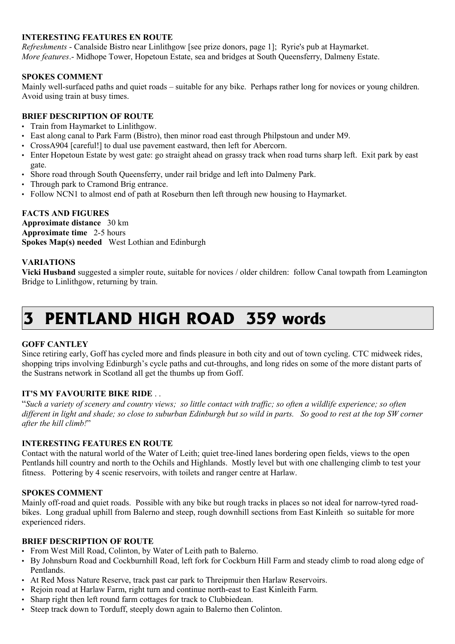#### **INTERESTING FEATURES EN ROUTE**

*Refreshments* - Canalside Bistro near Linlithgow [see prize donors, page 1]; Ryrie's pub at Haymarket. *More features*.- Midhope Tower, Hopetoun Estate, sea and bridges at South Queensferry, Dalmeny Estate.

#### **SPOKES COMMENT**

Mainly well-surfaced paths and quiet roads – suitable for any bike. Perhaps rather long for novices or young children. Avoid using train at busy times.

#### **BRIEF DESCRIPTION OF ROUTE**

- Train from Haymarket to Linlithgow.
- East along canal to Park Farm (Bistro), then minor road east through Philpstoun and under M9.
- CrossA904 [careful!] to dual use pavement eastward, then left for Abercorn.
- Enter Hopetoun Estate by west gate: go straight ahead on grassy track when road turns sharp left. Exit park by east gate.
- Shore road through South Queensferry, under rail bridge and left into Dalmeny Park.
- Through park to Cramond Brig entrance.
- Follow NCN1 to almost end of path at Roseburn then left through new housing to Haymarket.

#### **FACTS AND FIGURES**

**Approximate distance** 30 km **Approximate time** 2-5 hours **Spokes Map(s) needed** West Lothian and Edinburgh

#### **VARIATIONS**

**Vicki Husband** suggested a simpler route, suitable for novices / older children: follow Canal towpath from Leamington Bridge to Linlithgow, returning by train.

### **3 PENTLAND HIGH ROAD 359 words**

#### **GOFF CANTLEY**

Since retiring early, Goff has cycled more and finds pleasure in both city and out of town cycling. CTC midweek rides, shopping trips involving Edinburgh's cycle paths and cut-throughs, and long rides on some of the more distant parts of the Sustrans network in Scotland all get the thumbs up from Goff.

#### **IT'S MY FAVOURITE BIKE RIDE** . .

"*Such a variety of scenery and country views; so little contact with traffic; so often a wildlife experience; so often different in light and shade; so close to suburban Edinburgh but so wild in parts. So good to rest at the top SW corner after the hill climb!*"

#### **INTERESTING FEATURES EN ROUTE**

Contact with the natural world of the Water of Leith; quiet tree-lined lanes bordering open fields, views to the open Pentlands hill country and north to the Ochils and Highlands. Mostly level but with one challenging climb to test your fitness. Pottering by 4 scenic reservoirs, with toilets and ranger centre at Harlaw.

#### **SPOKES COMMENT**

Mainly off-road and quiet roads. Possible with any bike but rough tracks in places so not ideal for narrow-tyred roadbikes. Long gradual uphill from Balerno and steep, rough downhill sections from East Kinleith so suitable for more experienced riders.

#### **BRIEF DESCRIPTION OF ROUTE**

- From West Mill Road, Colinton, by Water of Leith path to Balerno.
- By Johnsburn Road and Cockburnhill Road, left fork for Cockburn Hill Farm and steady climb to road along edge of Pentlands.
- At Red Moss Nature Reserve, track past car park to Threipmuir then Harlaw Reservoirs.
- Rejoin road at Harlaw Farm, right turn and continue north-east to East Kinleith Farm.
- Sharp right then left round farm cottages for track to Clubbiedean.
- Steep track down to Torduff, steeply down again to Balerno then Colinton.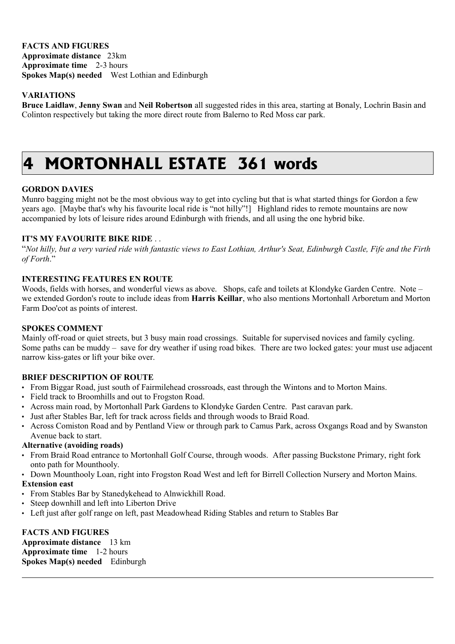**FACTS AND FIGURES Approximate distance** 23km **Approximate time** 2-3 hours **Spokes Map(s) needed** West Lothian and Edinburgh

#### **VARIATIONS**

**Bruce Laidlaw**, **Jenny Swan** and **Neil Robertson** all suggested rides in this area, starting at Bonaly, Lochrin Basin and Colinton respectively but taking the more direct route from Balerno to Red Moss car park.

### **4 MORTONHALL ESTATE 361 words**

#### **GORDON DAVIES**

Munro bagging might not be the most obvious way to get into cycling but that is what started things for Gordon a few years ago. [Maybe that's why his favourite local ride is "not hilly"!] Highland rides to remote mountains are now accompanied by lots of leisure rides around Edinburgh with friends, and all using the one hybrid bike.

#### **IT'S MY FAVOURITE BIKE RIDE** . .

"*Not hilly, but a very varied ride with fantastic views to East Lothian, Arthur's Seat, Edinburgh Castle, Fife and the Firth of Forth*."

#### **INTERESTING FEATURES EN ROUTE**

Woods, fields with horses, and wonderful views as above. Shops, cafe and toilets at Klondyke Garden Centre. Note – we extended Gordon's route to include ideas from **Harris Keillar**, who also mentions Mortonhall Arboretum and Morton Farm Doo'cot as points of interest.

#### **SPOKES COMMENT**

Mainly off-road or quiet streets, but 3 busy main road crossings. Suitable for supervised novices and family cycling. Some paths can be muddy – save for dry weather if using road bikes. There are two locked gates: your must use adjacent narrow kiss-gates or lift your bike over.

#### **BRIEF DESCRIPTION OF ROUTE**

- From Biggar Road, just south of Fairmilehead crossroads, east through the Wintons and to Morton Mains.
- Field track to Broomhills and out to Frogston Road.
- Across main road, by Mortonhall Park Gardens to Klondyke Garden Centre. Past caravan park.
- Just after Stables Bar, left for track across fields and through woods to Braid Road.
- Across Comiston Road and by Pentland View or through park to Camus Park, across Oxgangs Road and by Swanston Avenue back to start.

#### **Alternative (avoiding roads)**

- From Braid Road entrance to Mortonhall Golf Course, through woods. After passing Buckstone Primary, right fork onto path for Mounthooly.
- Down Mounthooly Loan, right into Frogston Road West and left for Birrell Collection Nursery and Morton Mains.

#### **Extension east**

- From Stables Bar by Stanedykehead to Alnwickhill Road.
- Steep downhill and left into Liberton Drive
- Left just after golf range on left, past Meadowhead Riding Stables and return to Stables Bar

#### **FACTS AND FIGURES**

**Approximate distance** 13 km **Approximate time** 1-2 hours **Spokes Map(s) needed** Edinburgh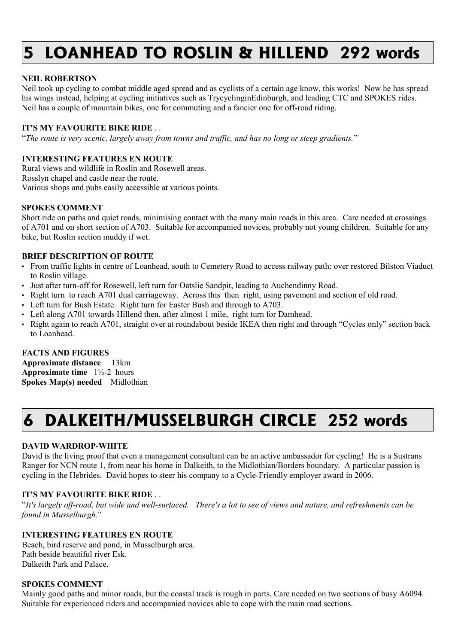# **5 LOANHEAD TO ROSLIN & HILLEND 292 words**

#### **NEIL ROBERTSON**

Neil took up cycling to combat middle aged spread and as cyclists of a certain age know, this works! Now he has spread his wings instead, helping at cycling initiatives such as TrycyclinginEdinburgh, and leading CTC and SPOKES rides. Neil has a couple of mountain bikes, one for commuting and a fancier one for off-road riding.

#### **IT'S MY FAVOURITE BIKE RIDE** . .

"*The route is very scenic, largely away from towns and traffic, and has no long or steep gradients.*"

#### **INTERESTING FEATURES EN ROUTE**

Rural views and wildlife in Roslin and Rosewell areas. Rosslyn chapel and castle near the route. Various shops and pubs easily accessible at various points.

#### **SPOKES COMMENT**

Short ride on paths and quiet roads, minimising contact with the many main roads in this area. Care needed at crossings of A701 and on short section of A703. Suitable for accompanied novices, probably not young children. Suitable for any bike, but Roslin section muddy if wet.

#### **BRIEF DESCRIPTION OF ROUTE**

- From traffic lights in centre of Loanhead, south to Cemetery Road to access railway path: over restored Bilston Viaduct to Roslin village.
- Just after turn-off for Rosewell, left turn for Oatslie Sandpit, leading to Auchendinny Road.
- Right turn to reach A701 dual carriageway. Across this then right, using pavement and section of old road.
- Left turn for Bush Estate. Right turn for Easter Bush and through to A703.
- Left along A701 towards Hillend then, after almost 1 mile, right turn for Damhead.
- Right again to reach A701, straight over at roundabout beside IKEA then right and through "Cycles only" section back to Loanhead.

#### **FACTS AND FIGURES**

**Approximate distance** 13km **Approximate time** 1½-2 hours **Spokes Map(s) needed** Midlothian

## **6 DALKEITH/MUSSELBURGH CIRCLE 252 words**

#### **DAVID WARDROP-WHITE**

David is the living proof that even a management consultant can be an active ambassador for cycling! He is a Sustrans Ranger for NCN route 1, from near his home in Dalkeith, to the Midlothian/Borders boundary. A particular passion is cycling in the Hebrides. David hopes to steer his company to a Cycle-Friendly employer award in 2006.

#### **IT'S MY FAVOURITE BIKE RIDE** . .

"*It's largely off-road, but wide and well-surfaced. There's a lot to see of views and nature, and refreshments can be found in Musselburgh.*"

#### **INTERESTING FEATURES EN ROUTE**

Beach, bird reserve and pond, in Musselburgh area. Path beside beautiful river Esk. Dalkeith Park and Palace.

#### **SPOKES COMMENT**

Mainly good paths and minor roads, but the coastal track is rough in parts. Care needed on two sections of busy A6094. Suitable for experienced riders and accompanied novices able to cope with the main road sections.